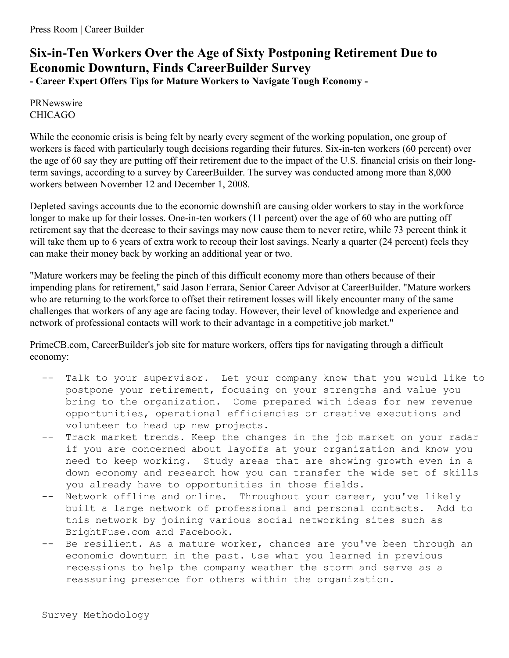## **Six-in-Ten Workers Over the Age of Sixty Postponing Retirement Due to Economic Downturn, Finds CareerBuilder Survey - Career Expert Offers Tips for Mature Workers to Navigate Tough Economy -**

PRNewswire CHICAGO

While the economic crisis is being felt by nearly every segment of the working population, one group of workers is faced with particularly tough decisions regarding their futures. Six-in-ten workers (60 percent) over the age of 60 say they are putting off their retirement due to the impact of the U.S. financial crisis on their longterm savings, according to a survey by CareerBuilder. The survey was conducted among more than 8,000 workers between November 12 and December 1, 2008.

Depleted savings accounts due to the economic downshift are causing older workers to stay in the workforce longer to make up for their losses. One-in-ten workers (11 percent) over the age of 60 who are putting off retirement say that the decrease to their savings may now cause them to never retire, while 73 percent think it will take them up to 6 years of extra work to recoup their lost savings. Nearly a quarter (24 percent) feels they can make their money back by working an additional year or two.

"Mature workers may be feeling the pinch of this difficult economy more than others because of their impending plans for retirement," said Jason Ferrara, Senior Career Advisor at CareerBuilder. "Mature workers who are returning to the workforce to offset their retirement losses will likely encounter many of the same challenges that workers of any age are facing today. However, their level of knowledge and experience and network of professional contacts will work to their advantage in a competitive job market."

PrimeCB.com, CareerBuilder's job site for mature workers, offers tips for navigating through a difficult economy:

- Talk to your supervisor. Let your company know that you would like to postpone your retirement, focusing on your strengths and value you bring to the organization. Come prepared with ideas for new revenue opportunities, operational efficiencies or creative executions and volunteer to head up new projects.
- -- Track market trends. Keep the changes in the job market on your radar if you are concerned about layoffs at your organization and know you need to keep working. Study areas that are showing growth even in a down economy and research how you can transfer the wide set of skills you already have to opportunities in those fields.
- -- Network offline and online. Throughout your career, you've likely built a large network of professional and personal contacts. Add to this network by joining various social networking sites such as BrightFuse.com and Facebook.
- Be resilient. As a mature worker, chances are you've been through an economic downturn in the past. Use what you learned in previous recessions to help the company weather the storm and serve as a reassuring presence for others within the organization.